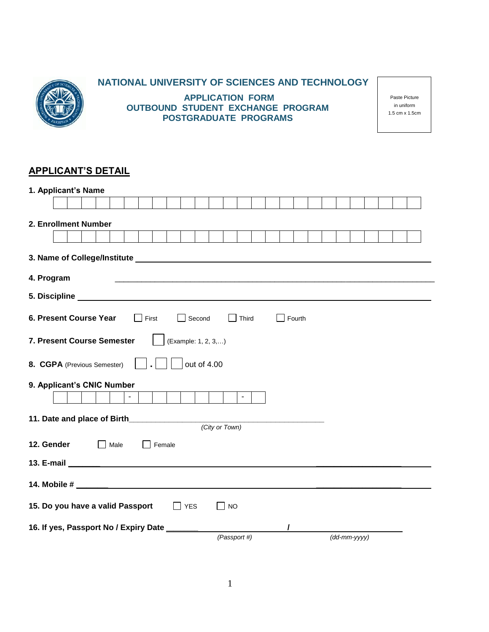

## **NATIONAL UNIVERSITY OF SCIENCES AND TECHNOLOGY**

**APPLICATION FORM OUTBOUND STUDENT EXCHANGE PROGRAM POSTGRADUATE PROGRAMS**

Paste Picture in uniform 1.5 cm x 1.5cm

## **APPLICANT'S DETAIL**

| 1. Applicant's Name                                                                                                                                                                                                           |  |  |  |  |  |  |
|-------------------------------------------------------------------------------------------------------------------------------------------------------------------------------------------------------------------------------|--|--|--|--|--|--|
|                                                                                                                                                                                                                               |  |  |  |  |  |  |
| 2. Enrollment Number                                                                                                                                                                                                          |  |  |  |  |  |  |
|                                                                                                                                                                                                                               |  |  |  |  |  |  |
|                                                                                                                                                                                                                               |  |  |  |  |  |  |
| 3. Name of College/Institute Lawrence and College and College and College and College and College and College and College and College and College and College and College and College and College and College and College and |  |  |  |  |  |  |
| 4. Program                                                                                                                                                                                                                    |  |  |  |  |  |  |
|                                                                                                                                                                                                                               |  |  |  |  |  |  |
| 6. Present Course Year<br>Second<br>Fourth<br>Third                                                                                                                                                                           |  |  |  |  |  |  |
| 7. Present Course Semester<br>(Example: 1, 2, 3,)                                                                                                                                                                             |  |  |  |  |  |  |
| out of 4.00<br>8. CGPA (Previous Semester)                                                                                                                                                                                    |  |  |  |  |  |  |
| 9. Applicant's CNIC Number                                                                                                                                                                                                    |  |  |  |  |  |  |
| $\blacksquare$<br>$\blacksquare$                                                                                                                                                                                              |  |  |  |  |  |  |
| 11. Date and place of Birth 11. Date and place of Birth                                                                                                                                                                       |  |  |  |  |  |  |
| (City or Town)                                                                                                                                                                                                                |  |  |  |  |  |  |
| 12. Gender<br>Male<br>Female                                                                                                                                                                                                  |  |  |  |  |  |  |
|                                                                                                                                                                                                                               |  |  |  |  |  |  |
|                                                                                                                                                                                                                               |  |  |  |  |  |  |
| 15. Do you have a valid Passport<br>$\Box$ YES<br>$\Box$ NO                                                                                                                                                                   |  |  |  |  |  |  |
| 16. If yes, Passport No / Expiry Date ___                                                                                                                                                                                     |  |  |  |  |  |  |
| (Passport #)<br>$(dd\text{-}mm\text{-}yyyy)$                                                                                                                                                                                  |  |  |  |  |  |  |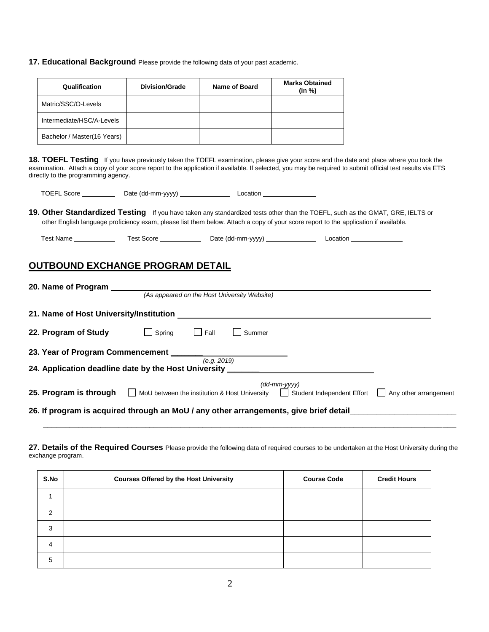**17. Educational Background** Please provide the following data of your past academic.

| Qualification               | Division/Grade | Name of Board | <b>Marks Obtained</b><br>(in %) |
|-----------------------------|----------------|---------------|---------------------------------|
| Matric/SSC/O-Levels         |                |               |                                 |
| Intermediate/HSC/A-Levels   |                |               |                                 |
| Bachelor / Master(16 Years) |                |               |                                 |

**18. TOEFL Testing** If you have previously taken the TOEFL examination, please give your score and the date and place where you took the examination. Attach a copy of your score report to the application if available. If selected, you may be required to submit official test results via ETS directly to the programming agency.

| <b>TOEFL Score</b> | Date (dd-mm-yyyy) | Location |
|--------------------|-------------------|----------|
|                    |                   |          |

**19. Other Standardized Testing** If you have taken any standardized tests other than the TOEFL, such as the GMAT, GRE, IELTS or other English language proficiency exam, please list them below. Attach a copy of your score report to the application if available.

| Test Name | Гest Score | Date (dd-mm-vvvv) | ∟ocatior |  |
|-----------|------------|-------------------|----------|--|
|           |            |                   |          |  |

#### **OUTBOUND EXCHANGE PROGRAM DETAIL**

| 20. Name of Program                                                                   |                                               |             |                                              |                              |                                       |
|---------------------------------------------------------------------------------------|-----------------------------------------------|-------------|----------------------------------------------|------------------------------|---------------------------------------|
|                                                                                       |                                               |             | (As appeared on the Host University Website) |                              |                                       |
|                                                                                       |                                               |             |                                              |                              |                                       |
| 21. Name of Host University/Institution                                               |                                               |             |                                              |                              |                                       |
| 22. Program of Study                                                                  | Spring                                        | Fall        | Summer                                       |                              |                                       |
| 23. Year of Program Commencement _                                                    |                                               |             |                                              |                              |                                       |
|                                                                                       |                                               | (e.a. 2019) |                                              |                              |                                       |
| 24. Application deadline date by the Host University                                  |                                               |             |                                              |                              |                                       |
|                                                                                       |                                               |             |                                              | $(dd\text{-}mm\text{-}vyyy)$ |                                       |
| 25. Program is through                                                                | MoU between the institution & Host University |             |                                              | Student Independent Effort   | Any other arrangement<br>$\mathbf{I}$ |
| 26. If program is acquired through an MoU / any other arrangements, give brief detail |                                               |             |                                              |                              |                                       |
|                                                                                       |                                               |             |                                              |                              |                                       |

**27. Details of the Required Courses** Please provide the following data of required courses to be undertaken at the Host University during the exchange program.

**\_\_\_\_\_\_\_\_\_\_\_\_\_\_\_\_\_\_\_\_\_\_\_\_\_\_\_\_\_\_\_\_\_\_\_\_\_\_\_\_\_\_\_\_\_\_\_\_\_\_\_\_\_\_\_\_\_\_\_\_\_\_\_\_\_\_\_\_\_\_\_\_\_\_\_\_\_\_\_\_\_\_\_\_\_\_\_\_\_\_\_\_\_**

| S.No           | <b>Courses Offered by the Host University</b> | <b>Course Code</b> | <b>Credit Hours</b> |
|----------------|-----------------------------------------------|--------------------|---------------------|
|                |                                               |                    |                     |
| 2              |                                               |                    |                     |
| 3              |                                               |                    |                     |
| $\overline{4}$ |                                               |                    |                     |
| 5              |                                               |                    |                     |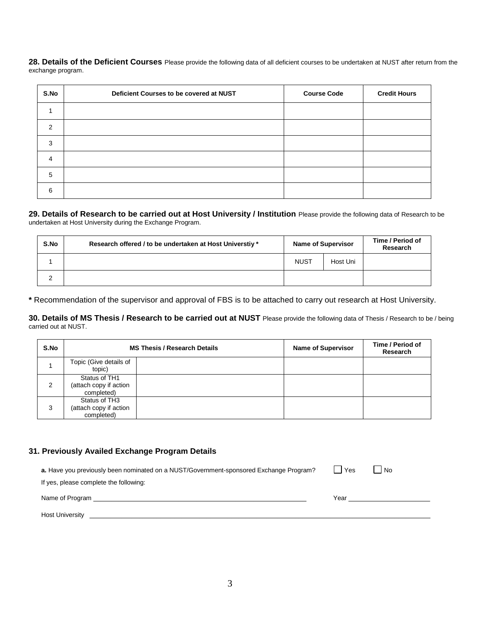28. Details of the Deficient Courses Please provide the following data of all deficient courses to be undertaken at NUST after return from the exchange program.

| S.No | Deficient Courses to be covered at NUST | <b>Course Code</b> | <b>Credit Hours</b> |
|------|-----------------------------------------|--------------------|---------------------|
|      |                                         |                    |                     |
| 2    |                                         |                    |                     |
| 3    |                                         |                    |                     |
| 4    |                                         |                    |                     |
| 5    |                                         |                    |                     |
| 6    |                                         |                    |                     |

#### **29. Details of Research to be carried out at Host University / Institution** Please provide the following data of Research to be undertaken at Host University during the Exchange Program.

| S.No | Research offered / to be undertaken at Host Universtiy * | <b>Name of Supervisor</b> |          | Time / Period of<br><b>Research</b> |
|------|----------------------------------------------------------|---------------------------|----------|-------------------------------------|
|      |                                                          | <b>NUST</b>               | Host Uni |                                     |
|      |                                                          |                           |          |                                     |

**\*** Recommendation of the supervisor and approval of FBS is to be attached to carry out research at Host University.

**30. Details of MS Thesis / Research to be carried out at NUST** Please provide the following data of Thesis / Research to be / being carried out at NUST.

| S.No | <b>MS Thesis / Research Details</b>                   |  | <b>Name of Supervisor</b> | Time / Period of<br>Research |
|------|-------------------------------------------------------|--|---------------------------|------------------------------|
|      | Topic (Give details of<br>topic)                      |  |                           |                              |
| 2    | Status of TH1<br>(attach copy if action<br>completed) |  |                           |                              |
| 3    | Status of TH3<br>(attach copy if action<br>completed) |  |                           |                              |

#### **31. Previously Availed Exchange Program Details**

| a. Have you previously been nominated on a NUST/Government-sponsored Exchange Program? | Yes  | l No |  |
|----------------------------------------------------------------------------------------|------|------|--|
| If yes, please complete the following:                                                 |      |      |  |
| Name of Program                                                                        | Year |      |  |
| <b>Host University</b>                                                                 |      |      |  |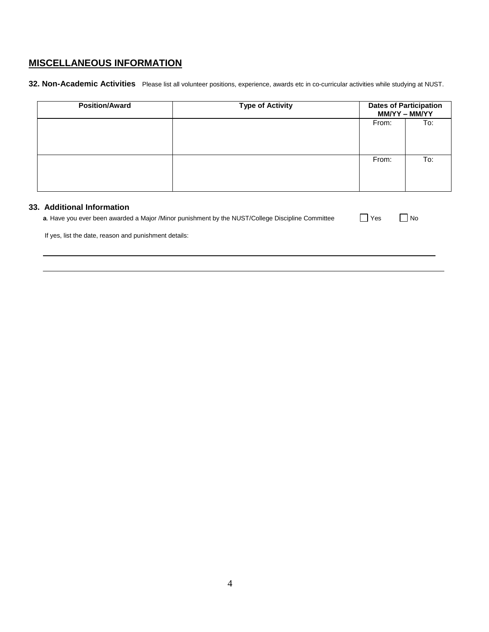# **MISCELLANEOUS INFORMATION**

**32. Non-Academic Activities** Please list all volunteer positions, experience, awards etc in co-curricular activities while studying at NUST.

| <b>Position/Award</b>      | <b>Type of Activity</b> |       | <b>Dates of Participation</b><br>MM/YY - MM/YY |
|----------------------------|-------------------------|-------|------------------------------------------------|
|                            |                         | From: | To:                                            |
|                            |                         | From: | To:                                            |
| 33. Additional Information |                         |       |                                                |

| a. Have you ever been awarded a Major /Minor punishment by the NUST/College Discipline Committee | Yes | No |
|--------------------------------------------------------------------------------------------------|-----|----|
| If yes, list the date, reason and punishment details:                                            |     |    |
|                                                                                                  |     |    |

\_\_\_\_\_\_\_\_\_\_\_\_\_\_\_\_\_\_\_\_\_\_\_\_\_\_\_\_\_\_\_\_\_\_\_\_\_\_\_\_\_\_\_\_\_\_\_\_\_\_\_\_\_\_\_\_\_\_\_\_\_\_\_\_\_\_\_\_\_\_\_\_\_\_\_\_\_\_\_\_\_\_\_\_\_\_\_\_\_\_\_\_\_\_\_\_\_\_\_\_\_\_\_\_\_\_\_\_\_\_\_\_\_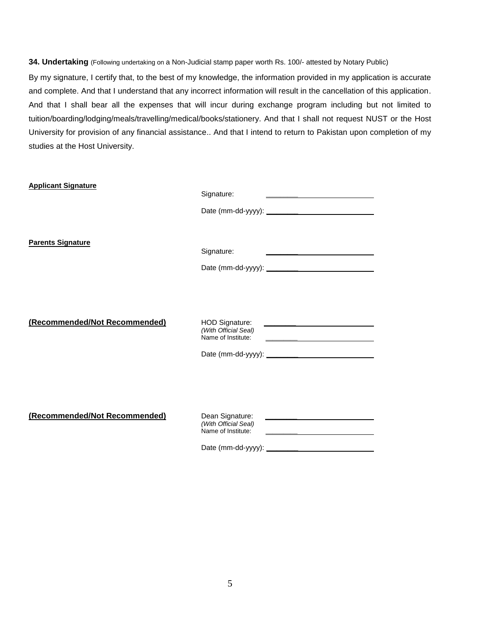**34. Undertaking** (Following undertaking on a Non-Judicial stamp paper worth Rs. 100/- attested by Notary Public)

By my signature, I certify that, to the best of my knowledge, the information provided in my application is accurate and complete. And that I understand that any incorrect information will result in the cancellation of this application. And that I shall bear all the expenses that will incur during exchange program including but not limited to tuition/boarding/lodging/meals/travelling/medical/books/stationery. And that I shall not request NUST or the Host University for provision of any financial assistance.. And that I intend to return to Pakistan upon completion of my studies at the Host University.

| <b>Applicant Signature</b>    | Signature:<br><u> The Community of the Community of the Community of the Community of the Community of the Community of the Community of the Community of the Community of the Community of the Community of the Community of the Community of</u>  |
|-------------------------------|-----------------------------------------------------------------------------------------------------------------------------------------------------------------------------------------------------------------------------------------------------|
| <b>Parents Signature</b>      | Signature:<br><u>and the state of the state of the state of the state of the state of the state of the state of the state of the state of the state of the state of the state of the state of the state of the state of the state of the state</u>  |
| (Recommended/Not Recommended) | HOD Signature:<br><u> 1980 - Jan James James James James James James James James James James James James James James James James J</u><br>(With Official Seal)<br>Name of Institute:<br><u> 1989 - Johann Barbara, martxa al III-lea (h. 1989).</u> |
| (Recommended/Not Recommended) | Dean Signature:<br><u> 1980 - Johann John Stein, markin fan de Fryske kunstner oantal fan de Fryske kunstner oantal fan de Fryske k</u><br>(With Official Seal)<br>Name of Institute:                                                               |